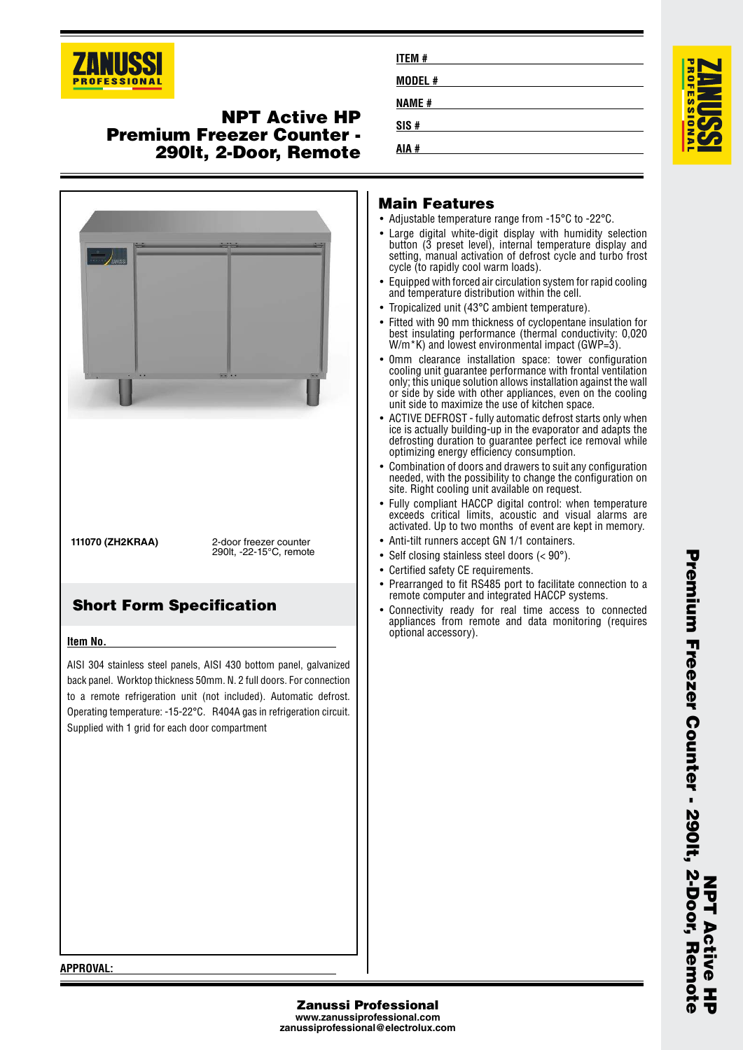

## **NPT Active HP Premium Freezer Counter - 290lt, 2-Door, Remote**



#### **Item No.**

AISI 304 stainless steel panels, AISI 430 bottom panel, galvanized back panel. Worktop thickness 50mm. N. 2 full doors. For connection to a remote refrigeration unit (not included). Automatic defrost. Operating temperature: -15-22°C. R404A gas in refrigeration circuit. Supplied with 1 grid for each door compartment

| ITEM #       |  |
|--------------|--|
| MODEL #      |  |
| <b>NAME#</b> |  |
| SIS#         |  |
| AIA #        |  |

#### **Main Features**

- Adjustable temperature range from -15°C to -22°C.
- Large digital white-digit display with humidity selection button (3 preset level), internal temperature display and setting, manual activation of defrost cycle and turbo frost cycle (to rapidly cool warm loads).
- Equipped with forced air circulation system for rapid cooling and temperature distribution within the cell.
- •Tropicalized unit (43°C ambient temperature).
- • Fitted with 90 mm thickness of cyclopentane insulation for best insulating performance (thermal conductivity: 0,020 W/m<sup>\*</sup>K) and lowest environmental impact (GWP=3).
- 0mm clearance installation space: tower configuration cooling unit guarantee performance with frontal ventilation only; this unique solution allows installation against the wall or side by side with other appliances, even on the cooling unit side to maximize the use of kitchen space.
- • ACTIVE DEFROST - fully automatic defrost starts only when ice is actually building-up in the evaporator and adapts the defrosting duration to guarantee perfect ice removal while optimizing energy efficiency consumption.
- • Combination of doors and drawers to suit any configuration needed, with the possibility to change the configuration on site. Right cooling unit available on request.
- • Fully compliant HACCP digital control: when temperature exceeds critical limits, acoustic and visual alarms are activated. Up to two months of event are kept in memory.
- •Anti-tilt runners accept GN 1/1 containers.
- Self closing stainless steel doors (< 90°).
- Certified safety CE requirements.
- Prearranged to fit RS485 port to facilitate connection to a remote computer and integrated HACCP systems.
- • Connectivity ready for real time access to connected appliances from remote and data monitoring (requires optional accessory).

**APPROVAL:**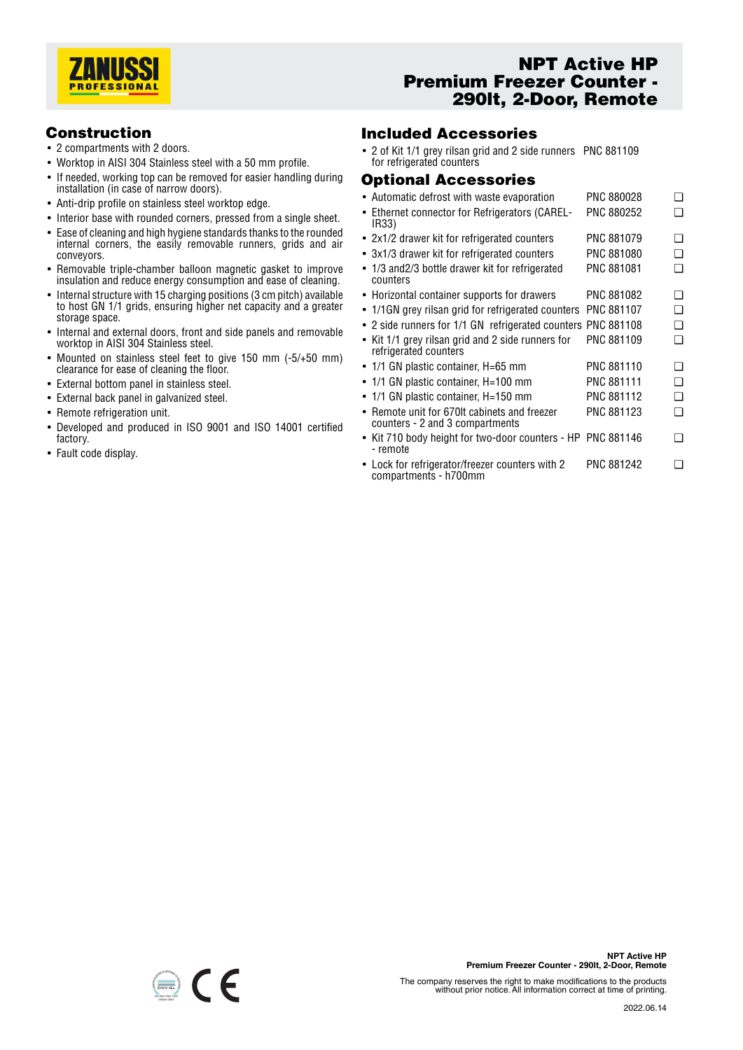

# **NPT Active HP Premium Freezer Counter - 290lt, 2-Door, Remote**

#### **Construction**

- 2 compartments with 2 doors.
- Worktop in AISI 304 Stainless steel with a 50 mm profile.
- If needed, working top can be removed for easier handling during installation (in case of narrow doors).
- Anti-drip profile on stainless steel worktop edge.
- Interior base with rounded corners, pressed from a single sheet.
- Ease of cleaning and high hygiene standards thanks to the rounded internal corners, the easily removable runners, grids and air conveyors.
- Removable triple-chamber balloon magnetic gasket to improve insulation and reduce energy consumption and ease of cleaning.
- Internal structure with 15 charging positions (3 cm pitch) available to host GN 1/1 grids, ensuring higher net capacity and a greater storage space.
- Internal and external doors, front and side panels and removable worktop in AISI 304 Stainless steel.
- Mounted on stainless steel feet to give 150 mm (-5/+50 mm) clearance for ease of cleaning the floor.
- External bottom panel in stainless steel.
- External back panel in galvanized steel.
- Remote refrigeration unit.
- Developed and produced in ISO 9001 and ISO 14001 certified factory.
- Fault code display.

## **Included Accessories**

• 2 of Kit 1/1 grey rilsan grid and 2 side runners PNC 881109 for refrigerated counters

### **Optional Accessories**

- Automatic defrost with waste evaporation PNC 880028 • Ethernet connector for Refrigerators (CAREL-IR33) PNC 880252 ❑ • 2x1/2 drawer kit for refrigerated counters PNC 881079 ❑ • 3x1/3 drawer kit for refrigerated counters PNC 881080 ❑ • 1/3 and2/3 bottle drawer kit for refrigerated counters PNC 881081 ❑ • Horizontal container supports for drawers PNC 881082 ❑ • 1/1GN grey rilsan grid for refrigerated counters PNC 881107 ❑ • 2 side runners for 1/1 GN refrigerated counters PNC 881108 ❑ •Kit 1/1 grey rilsan grid and 2 side runners for refrigerated counters PNC 881109 ❑ • 1/1 GN plastic container, H=65 mm PNC 881110 ❑ • 1/1 GN plastic container, H=100 mm PNC 881111 ❑ • 1/1 GN plastic container, H=150 mm PNC 881112  $\Box$ • Remote unit for 670lt cabinets and freezer counters - 2 and 3 compartments PNC 881123 ❑ • Kit 710 body height for two-door counters - HP PNC 881146 ❑ - remote
- Lock for refrigerator/freezer counters with 2 compartments - h700mm PNC 881242 <del>□</del>